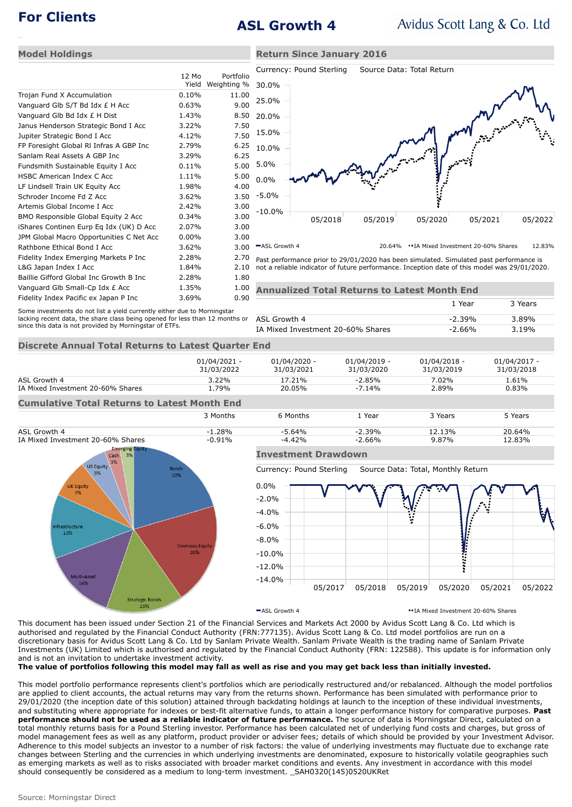# **For Clients ASL Growth 4**

**Return Since January 2016**

## **Model Holdings**

|                                          |          |             | Cu                       |
|------------------------------------------|----------|-------------|--------------------------|
|                                          | 12 Mo    | Portfolio   |                          |
|                                          | Yield    | Weighting % | 30                       |
| Trojan Fund X Accumulation               | 0.10%    | 11.00       | 25                       |
| Vanguard Glb S/T Bd Idx £ H Acc          | 0.63%    | 9.00        |                          |
| Vanguard Glb Bd Idx £ H Dist             | 1.43%    | 8.50        | 20                       |
| Janus Henderson Strategic Bond I Acc     | 3.22%    | 7.50        |                          |
| Jupiter Strategic Bond I Acc             | 4.12%    | 7.50        | 15                       |
| FP Foresight Global RI Infras A GBP Inc  | 2.79%    | 6.25        | 10                       |
| Sanlam Real Assets A GBP Inc             | 3.29%    | 6.25        |                          |
| Fundsmith Sustainable Equity I Acc       | 0.11%    | 5.00        | 5.C                      |
| HSBC American Index C Acc                | 1.11%    | 5.00        | 0.0                      |
| LF Lindsell Train UK Equity Acc          | 1.98%    | 4.00        |                          |
| Schroder Income Fd Z Acc                 | 3.62%    | 3.50        | -5.                      |
| Artemis Global Income I Acc              | 2.42%    | 3.00        | -10                      |
| BMO Responsible Global Equity 2 Acc      | 0.34%    | 3.00        |                          |
| iShares Continen Eurp Eq Idx (UK) D Acc  | 2.07%    | 3.00        |                          |
| JPM Global Macro Opportunities C Net Acc | $0.00\%$ | 3.00        |                          |
| Rathbone Ethical Bond I Acc              | 3.62%    | 3.00        | $\mathord{\text{--}}$ A: |
| Fidelity Index Emerging Markets P Inc    | 2.28%    | 2.70        | Pas                      |
| L&G Japan Index I Acc                    | 1.84%    | 2.10        | not                      |
| Baillie Gifford Global Inc Growth B Inc  | 2.28%    | 1.80        |                          |
| Vanguard Glb Small-Cp Idx £ Acc          | 1.35%    | 1.00        | Αr                       |
| Fidelity Index Pacific ex Japan P Inc    | 3.69%    | 0.90        |                          |



ASL Growth 4 20.64% **IA Mixed Investment 20-60% Shares** 12.83%

t performance prior to 29/01/2020 has been simulated. Simulated past performance is a reliable indicator of future performance. Inception date of this model was 29/01/2020.

| <b>Annualized Total Returns to Latest Month End</b> |          |         |  |  |  |
|-----------------------------------------------------|----------|---------|--|--|--|
|                                                     | 1 Year   | 3 Years |  |  |  |
| ASL Growth 4                                        | $-2.39%$ | 3.89%   |  |  |  |
| IA Mixed Investment 20-60% Shares                   | $-2.66%$ | 3.19%   |  |  |  |

## **Discrete Annual Total Returns to Latest Quarter End**

Some investments do not list a yield currently either due to Morningstar lacking recent data, the share class being opened for less than 12 months or

since this data is not provided by Morningstar of ETFs.

|                                   | $01/04/2021 -$<br>31/03/2022 | $01/04/2020 -$<br>31/03/2021 | $01/04/2019 -$<br>31/03/2020 | 01/04/2018 -<br>31/03/2019 | $01/04/2017 -$<br>31/03/2018 |
|-----------------------------------|------------------------------|------------------------------|------------------------------|----------------------------|------------------------------|
| ASL Growth 4                      | 3.22%                        | 17.21%                       | $-2.85%$                     | 7.02%                      | 1.61%                        |
| IA Mixed Investment 20-60% Shares | L.79%                        | 20.05%                       | $-7.14%$                     | 2.89%                      | 0.83%                        |
|                                   |                              |                              |                              |                            |                              |

**Cumulative Total Returns to Latest Month End** 3 Months 6 Months 1 Year 3 Years 5 Years



Currency: Pound Sterling Source Data: Total, Monthly Return



ASL Growth 4 IA Mixed Investment 20-60% Shares

This document has been issued under Section 21 of the Financial Services and Markets Act 2000 by Avidus Scott Lang & Co. Ltd which is authorised and regulated by the Financial Conduct Authority (FRN:777135). Avidus Scott Lang & Co. Ltd model portfolios are run on a discretionary basis for Avidus Scott Lang & Co. Ltd by Sanlam Private Wealth. Sanlam Private Wealth is the trading name of Sanlam Private Investments (UK) Limited which is authorised and regulated by the Financial Conduct Authority (FRN: 122588). This update is for information only and is not an invitation to undertake investment activity.

**The value of portfolios following this model may fall as well as rise and you may get back less than initially invested.**

This model portfolio performance represents client's portfolios which are periodically restructured and/or rebalanced. Although the model portfolios are applied to client accounts, the actual returns may vary from the returns shown. Performance has been simulated with performance prior to 29/01/2020 (the inception date of this solution) attained through backdating holdings at launch to the inception of these individual investments, and substituting where appropriate for indexes or best-fit alternative funds, to attain a longer performance history for comparative purposes. **Past performance should not be used as a reliable indicator of future performance.** The source of data is Morningstar Direct, calculated on a total monthly returns basis for a Pound Sterling investor. Performance has been calculated net of underlying fund costs and charges, but gross of model management fees as well as any platform, product provider or adviser fees; details of which should be provided by your Investment Advisor. Adherence to this model subjects an investor to a number of risk factors: the value of underlying investments may fluctuate due to exchange rate changes between Sterling and the currencies in which underlying investments are denominated, exposure to historically volatile geographies such as emerging markets as well as to risks associated with broader market conditions and events. Any investment in accordance with this model should consequently be considered as a medium to long-term investment. \_SAH0320(145)0520UKRet